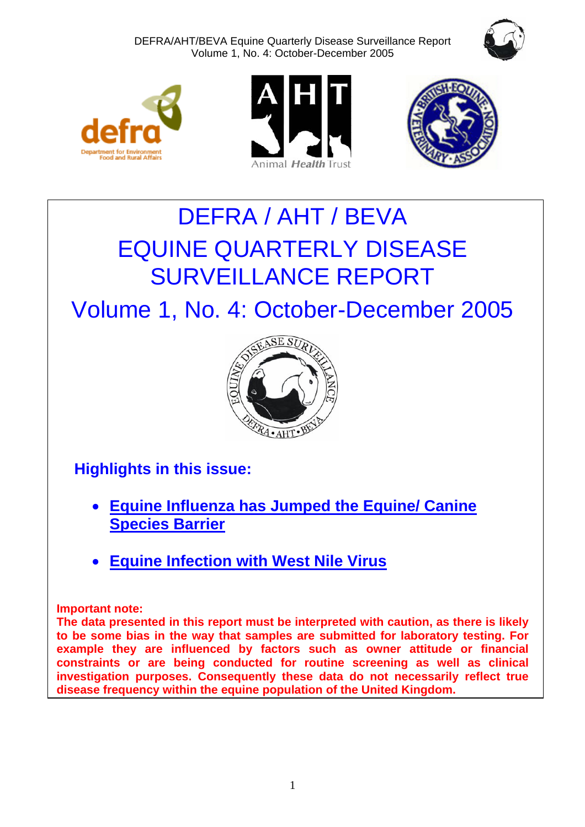DEFRA/AHT/BEVA Equine Quarterly Disease Surveillance Report Volume 1, No. 4: October-December 2005









# DEFRA / AHT / BEVA EQUINE QUARTERLY DISEASE SURVEILLANCE REPORT

Volume 1, No. 4: October-December 2005



## **Highlights in this issue:**

- **[Equine Influenza has Jumped the Equine/ Canine](#page-4-0) [Species Barrier](#page-4-0)**
- **[Equine Infection with West Nile Virus](#page-5-0)**

## **Important note:**

**The data presented in this report must be interpreted with caution, as there is likely to be some bias in the way that samples are submitted for laboratory testing. For example they are influenced by factors such as owner attitude or financial constraints or are being conducted for routine screening as well as clinical investigation purposes. Consequently these data do not necessarily reflect true disease frequency within the equine population of the United Kingdom.**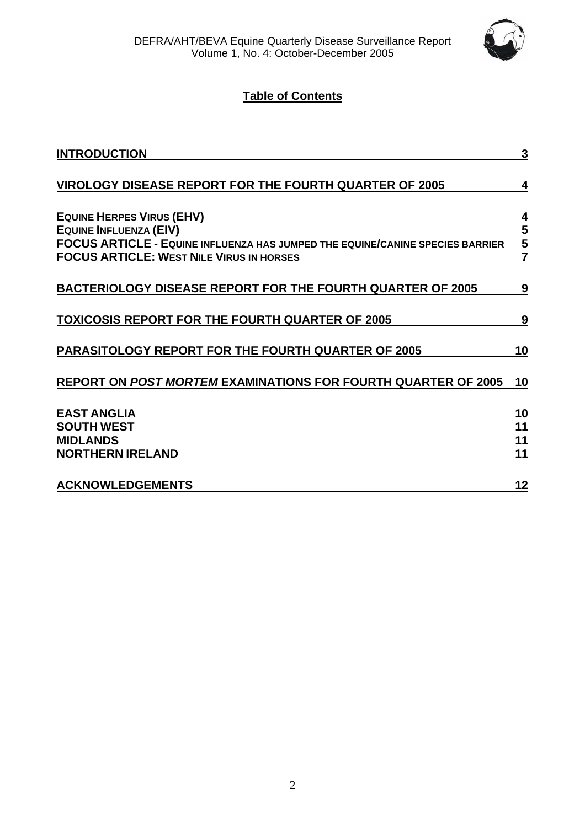

## **Table of Contents**

| <b>INTRODUCTION</b>                                                                                                                                                                                   | 3                             |
|-------------------------------------------------------------------------------------------------------------------------------------------------------------------------------------------------------|-------------------------------|
| <b>VIROLOGY DISEASE REPORT FOR THE FOURTH QUARTER OF 2005</b>                                                                                                                                         | 4                             |
| <b>EQUINE HERPES VIRUS (EHV)</b><br>EQUINE INFLUENZA (EIV)<br><b>FOCUS ARTICLE - EQUINE INFLUENZA HAS JUMPED THE EQUINE/CANINE SPECIES BARRIER</b><br><b>FOCUS ARTICLE: WEST NILE VIRUS IN HORSES</b> | 4<br>5<br>5<br>$\overline{7}$ |
| <b>BACTERIOLOGY DISEASE REPORT FOR THE FOURTH QUARTER OF 2005</b>                                                                                                                                     | 9                             |
| <b>TOXICOSIS REPORT FOR THE FOURTH QUARTER OF 2005</b>                                                                                                                                                | 9                             |
| <b>PARASITOLOGY REPORT FOR THE FOURTH QUARTER OF 2005</b>                                                                                                                                             | 10                            |
| <b>REPORT ON POST MORTEM EXAMINATIONS FOR FOURTH QUARTER OF 2005</b>                                                                                                                                  | 10                            |
| <b>EAST ANGLIA</b><br><b>SOUTH WEST</b><br><b>MIDLANDS</b><br><b>NORTHERN IRELAND</b>                                                                                                                 | 10<br>11<br>11<br>11          |
| <b>ACKNOWLEDGEMENTS</b>                                                                                                                                                                               | 12                            |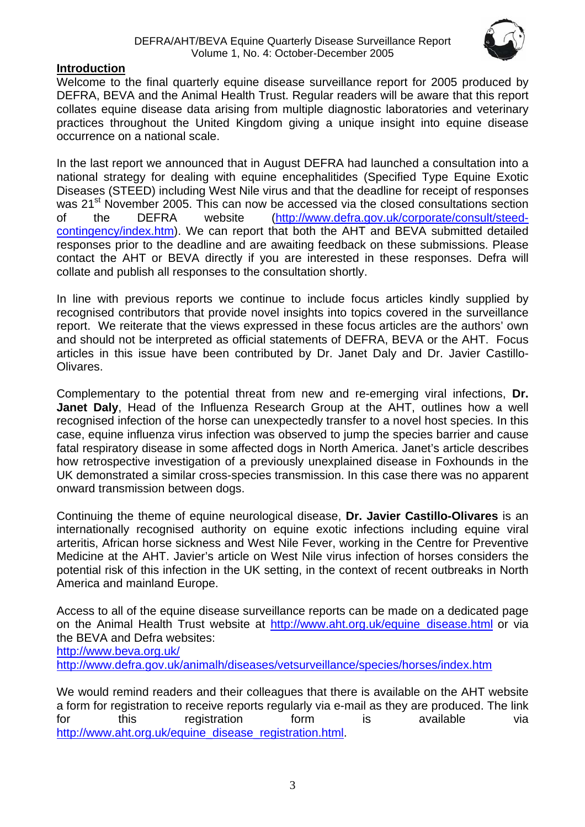

## <span id="page-2-0"></span>**Introduction**

Welcome to the final quarterly equine disease surveillance report for 2005 produced by DEFRA, BEVA and the Animal Health Trust. Regular readers will be aware that this report collates equine disease data arising from multiple diagnostic laboratories and veterinary practices throughout the United Kingdom giving a unique insight into equine disease occurrence on a national scale.

In the last report we announced that in August DEFRA had launched a consultation into a national strategy for dealing with equine encephalitides (Specified Type Equine Exotic Diseases (STEED) including West Nile virus and that the deadline for receipt of responses was 21<sup>st</sup> November 2005. This can now be accessed via the closed consultations section of the DEFRA website [\(http://www.defra.gov.uk/corporate/consult/steed](http://www.defra.gov.uk/corporate/consult/steed-contingency/index.htm)[contingency/index.htm\)](http://www.defra.gov.uk/corporate/consult/steed-contingency/index.htm). We can report that both the AHT and BEVA submitted detailed responses prior to the deadline and are awaiting feedback on these submissions. Please contact the AHT or BEVA directly if you are interested in these responses. Defra will collate and publish all responses to the consultation shortly.

In line with previous reports we continue to include focus articles kindly supplied by recognised contributors that provide novel insights into topics covered in the surveillance report. We reiterate that the views expressed in these focus articles are the authors' own and should not be interpreted as official statements of DEFRA, BEVA or the AHT. Focus articles in this issue have been contributed by Dr. Janet Daly and Dr. Javier Castillo-Olivares.

Complementary to the potential threat from new and re-emerging viral infections, **Dr. Janet Daly**, Head of the Influenza Research Group at the AHT, outlines how a well recognised infection of the horse can unexpectedly transfer to a novel host species. In this case, equine influenza virus infection was observed to jump the species barrier and cause fatal respiratory disease in some affected dogs in North America. Janet's article describes how retrospective investigation of a previously unexplained disease in Foxhounds in the UK demonstrated a similar cross-species transmission. In this case there was no apparent onward transmission between dogs.

Continuing the theme of equine neurological disease, **Dr. Javier Castillo-Olivares** is an internationally recognised authority on equine exotic infections including equine viral arteritis, African horse sickness and West Nile Fever, working in the Centre for Preventive Medicine at the AHT. Javier's article on West Nile virus infection of horses considers the potential risk of this infection in the UK setting, in the context of recent outbreaks in North America and mainland Europe.

Access to all of the equine disease surveillance reports can be made on a dedicated page on the Animal Health Trust website at [http://www.aht.org.uk/equine\\_disease.html](http://www.aht.org.uk/equine_disease.html) or via the BEVA and Defra websites: <http://www.beva.org.uk/> <http://www.defra.gov.uk/animalh/diseases/vetsurveillance/species/horses/index.htm>

We would remind readers and their colleagues that there is available on the AHT website a form for registration to receive reports regularly via e-mail as they are produced. The link for this registration form is available via [http://www.aht.org.uk/equine\\_disease\\_registration.html.](http://www.aht.org.uk/equine_disease_registration.html)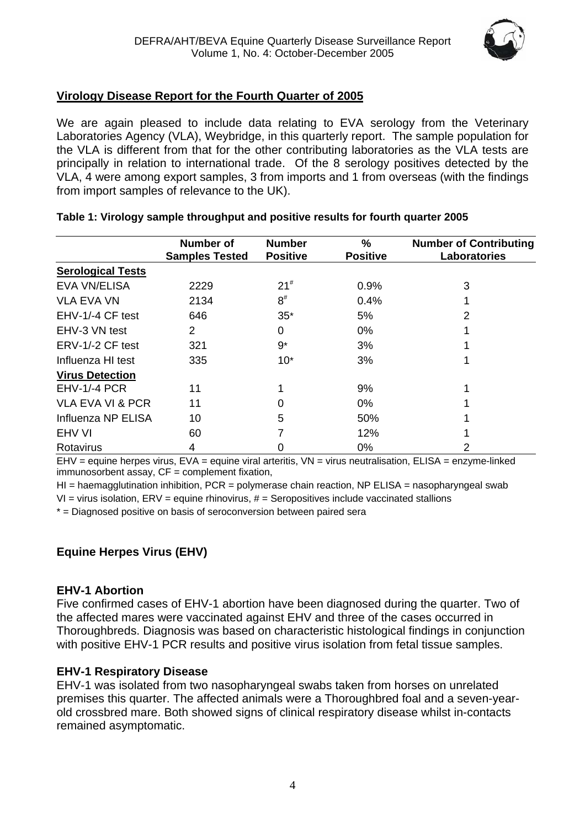

## <span id="page-3-0"></span>**Virology Disease Report for the Fourth Quarter of 2005**

We are again pleased to include data relating to EVA serology from the Veterinary Laboratories Agency (VLA), Weybridge, in this quarterly report. The sample population for the VLA is different from that for the other contributing laboratories as the VLA tests are principally in relation to international trade. Of the 8 serology positives detected by the VLA, 4 were among export samples, 3 from imports and 1 from overseas (with the findings from import samples of relevance to the UK).

|                             | <b>Number of</b><br><b>Samples Tested</b> | <b>Number</b><br><b>Positive</b> | %<br><b>Positive</b> | <b>Number of Contributing</b><br><b>Laboratories</b> |
|-----------------------------|-------------------------------------------|----------------------------------|----------------------|------------------------------------------------------|
| <b>Serological Tests</b>    |                                           |                                  |                      |                                                      |
| <b>EVA VN/ELISA</b>         | 2229                                      | $21^{#}$                         | 0.9%                 | 3                                                    |
| <b>VLA EVA VN</b>           | 2134                                      | $8^{\#}$                         | 0.4%                 |                                                      |
| EHV-1/-4 CF test            | 646                                       | $35*$                            | 5%                   | 2                                                    |
| EHV-3 VN test               | 2                                         | 0                                | 0%                   |                                                      |
| ERV-1/-2 CF test            | 321                                       | 9*                               | 3%                   |                                                      |
| Influenza HI test           | 335                                       | $10*$                            | 3%                   |                                                      |
| <b>Virus Detection</b>      |                                           |                                  |                      |                                                      |
| <b>EHV-1/-4 PCR</b>         | 11                                        |                                  | 9%                   |                                                      |
| <b>VLA EVA VI &amp; PCR</b> | 11                                        | 0                                | $0\%$                |                                                      |
| Influenza NP ELISA          | 10                                        | 5                                | 50%                  |                                                      |
| EHV VI                      | 60                                        |                                  | 12%                  |                                                      |
| Rotavirus                   | 4                                         | O                                | 0%                   | 2                                                    |

#### **Table 1: Virology sample throughput and positive results for fourth quarter 2005**

 $EHV =$  equine herpes virus,  $EVA =$  equine viral arteritis,  $VN =$  virus neutralisation,  $ELISA =$  enzyme-linked immunosorbent assay, CF = complement fixation,

 $H =$  haemagglutination inhibition, PCR = polymerase chain reaction, NP ELISA = nasopharyngeal swab

 $VI =$  virus isolation,  $ERV =$  equine rhinovirus,  $#$  = Seropositives include vaccinated stallions

\* = Diagnosed positive on basis of seroconversion between paired sera

## **Equine Herpes Virus (EHV)**

#### **EHV-1 Abortion**

Five confirmed cases of EHV-1 abortion have been diagnosed during the quarter. Two of the affected mares were vaccinated against EHV and three of the cases occurred in Thoroughbreds. Diagnosis was based on characteristic histological findings in conjunction with positive EHV-1 PCR results and positive virus isolation from fetal tissue samples.

## **EHV-1 Respiratory Disease**

EHV-1 was isolated from two nasopharyngeal swabs taken from horses on unrelated premises this quarter. The affected animals were a Thoroughbred foal and a seven-yearold crossbred mare. Both showed signs of clinical respiratory disease whilst in-contacts remained asymptomatic.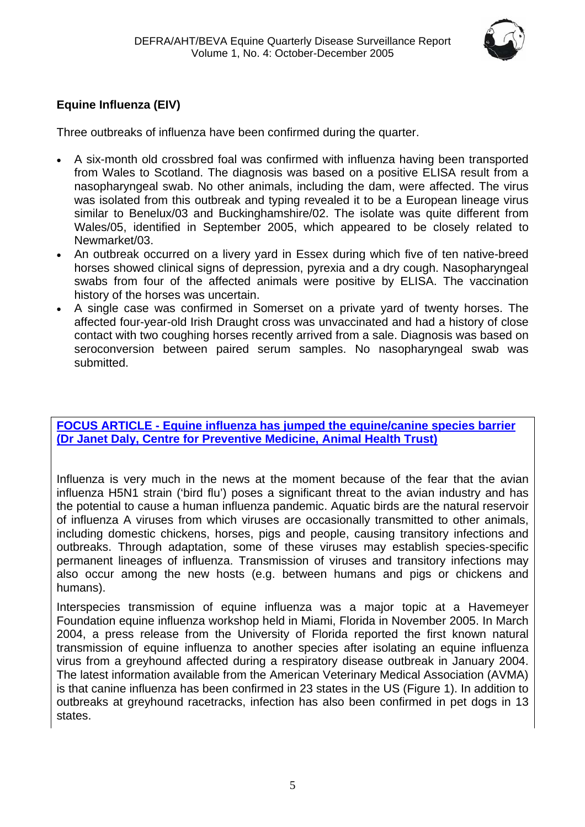

## <span id="page-4-0"></span>**Equine Influenza (EIV)**

Three outbreaks of influenza have been confirmed during the quarter.

- A six-month old crossbred foal was confirmed with influenza having been transported from Wales to Scotland. The diagnosis was based on a positive ELISA result from a nasopharyngeal swab. No other animals, including the dam, were affected. The virus was isolated from this outbreak and typing revealed it to be a European lineage virus similar to Benelux/03 and Buckinghamshire/02. The isolate was quite different from Wales/05, identified in September 2005, which appeared to be closely related to Newmarket/03.
- An outbreak occurred on a livery yard in Essex during which five of ten native-breed horses showed clinical signs of depression, pyrexia and a dry cough. Nasopharyngeal swabs from four of the affected animals were positive by ELISA. The vaccination history of the horses was uncertain.
- A single case was confirmed in Somerset on a private yard of twenty horses. The affected four-year-old Irish Draught cross was unvaccinated and had a history of close contact with two coughing horses recently arrived from a sale. Diagnosis was based on seroconversion between paired serum samples. No nasopharyngeal swab was submitted.

## **FOCUS ARTICLE - Equine influenza has jumped the equine/canine species barrier (Dr Janet Daly, Centre for Preventive Medicine, Animal Health Trust)**

Influenza is very much in the news at the moment because of the fear that the avian influenza H5N1 strain ('bird flu') poses a significant threat to the avian industry and has the potential to cause a human influenza pandemic. Aquatic birds are the natural reservoir of influenza A viruses from which viruses are occasionally transmitted to other animals, including domestic chickens, horses, pigs and people, causing transitory infections and outbreaks. Through adaptation, some of these viruses may establish species-specific permanent lineages of influenza. Transmission of viruses and transitory infections may also occur among the new hosts (e.g. between humans and pigs or chickens and humans).

Interspecies transmission of equine influenza was a major topic at a Havemeyer Foundation equine influenza workshop held in Miami, Florida in November 2005. In March 2004, a press release from the University of Florida reported the first known natural transmission of equine influenza to another species after isolating an equine influenza virus from a greyhound affected during a respiratory disease outbreak in January 2004. The latest information available from the American Veterinary Medical Association (AVMA) is that canine influenza has been confirmed in 23 states in the US (Figure 1). In addition to outbreaks at greyhound racetracks, infection has also been confirmed in pet dogs in 13 states.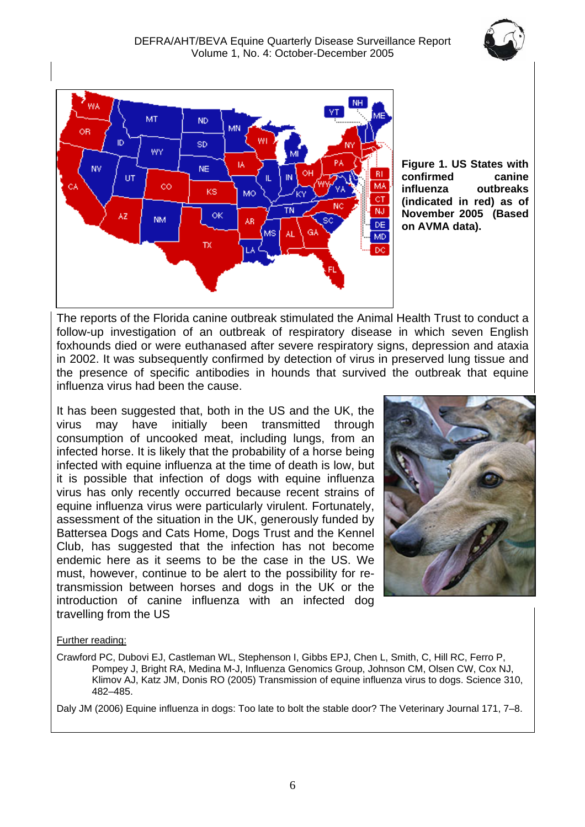

<span id="page-5-0"></span>

**Figure 1. US States with confirmed canine influenza outbreaks (indicated in red) as of November 2005 (Based on AVMA data).** 

The reports of the Florida canine outbreak stimulated the Animal Health Trust to conduct a follow-up investigation of an outbreak of respiratory disease in which seven English foxhounds died or were euthanased after severe respiratory signs, depression and ataxia in 2002. It was subsequently confirmed by detection of virus in preserved lung tissue and the presence of specific antibodies in hounds that survived the outbreak that equine influenza virus had been the cause.

It has been suggested that, both in the US and the UK, the virus may have initially been transmitted through consumption of uncooked meat, including lungs, from an infected horse. It is likely that the probability of a horse being infected with equine influenza at the time of death is low, but it is possible that infection of dogs with equine influenza virus has only recently occurred because recent strains of equine influenza virus were particularly virulent. Fortunately, assessment of the situation in the UK, generously funded by Battersea Dogs and Cats Home, Dogs Trust and the Kennel Club, has suggested that the infection has not become endemic here as it seems to be the case in the US. We must, however, continue to be alert to the possibility for retransmission between horses and dogs in the UK or the introduction of canine influenza with an infected dog travelling from the US



#### Further reading:

Crawford PC, Dubovi EJ, Castleman WL, Stephenson I, Gibbs EPJ, Chen L, Smith, C, Hill RC, Ferro P, Pompey J, Bright RA, Medina M-J, Influenza Genomics Group, Johnson CM, Olsen CW, Cox NJ, Klimov AJ, Katz JM, Donis RO (2005) Transmission of equine influenza virus to dogs. Science 310, 482–485.

Daly JM (2006) Equine influenza in dogs: Too late to bolt the stable door? The Veterinary Journal 171, 7–8.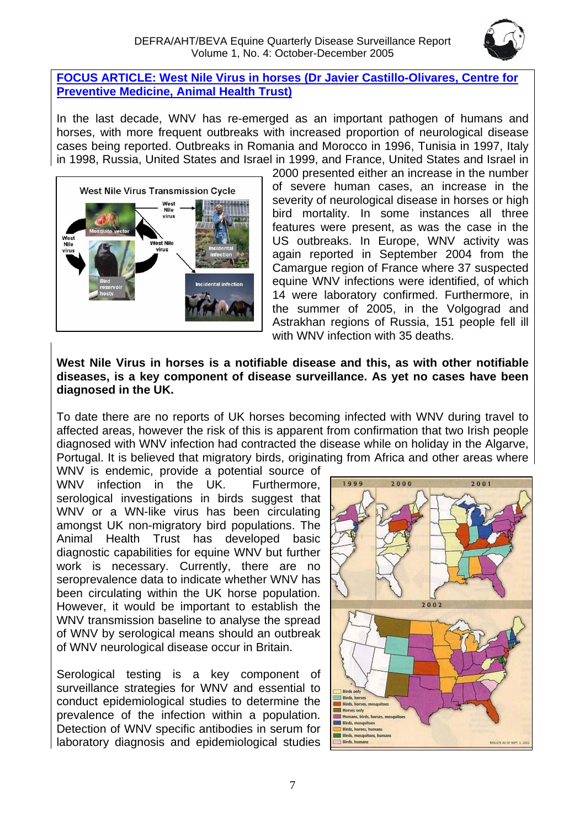

### <span id="page-6-0"></span>**FOCUS ARTICLE: West Nile Virus in horses (Dr Javier Castillo-Olivares, Centre for Preventive Medicine, Animal Health Trust)**

In the last decade, WNV has re-emerged as an important pathogen of humans and horses, with more frequent outbreaks with increased proportion of neurological disease cases being reported. Outbreaks in Romania and Morocco in 1996, Tunisia in 1997, Italy in 1998, Russia, United States and Israel in 1999, and France, United States and Israel in



2000 presented either an increase in the number of severe human cases, an increase in the severity of neurological disease in horses or high bird mortality. In some instances all three features were present, as was the case in the US outbreaks. In Europe, WNV activity was again reported in September 2004 from the Camargue region of France where 37 suspected equine WNV infections were identified, of which 14 were laboratory confirmed. Furthermore, in the summer of 2005, in the Volgograd and Astrakhan regions of Russia, 151 people fell ill with WNV infection with 35 deaths.

### **West Nile Virus in horses is a notifiable disease and this, as with other notifiable diseases, is a key component of disease surveillance. As yet no cases have been diagnosed in the UK.**

To date there are no reports of UK horses becoming infected with WNV during travel to affected areas, however the risk of this is apparent from confirmation that two Irish people diagnosed with WNV infection had contracted the disease while on holiday in the Algarve, Portugal. It is believed that migratory birds, originating from Africa and other areas where

WNV is endemic, provide a potential source of WNV infection in the UK. Furthermore, serological investigations in birds suggest that WNV or a WN-like virus has been circulating amongst UK non-migratory bird populations. The Animal Health Trust has developed basic diagnostic capabilities for equine WNV but further work is necessary. Currently, there are no seroprevalence data to indicate whether WNV has been circulating within the UK horse population. However, it would be important to establish the WNV transmission baseline to analyse the spread of WNV by serological means should an outbreak of WNV neurological disease occur in Britain.

Serological testing is a key component of surveillance strategies for WNV and essential to conduct epidemiological studies to determine the prevalence of the infection within a population. Detection of WNV specific antibodies in serum for laboratory diagnosis and epidemiological studies

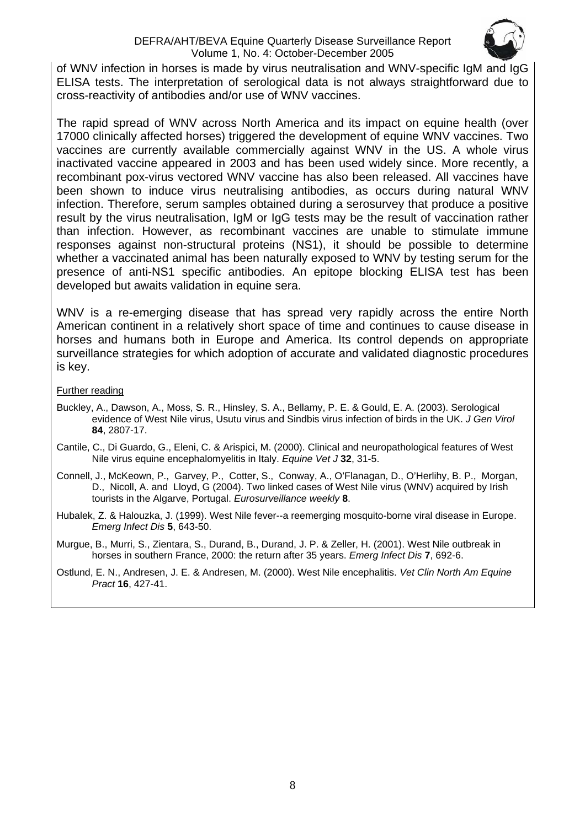#### DEFRA/AHT/BEVA Equine Quarterly Disease Surveillance Report Volume 1, No. 4: October-December 2005



of WNV infection in horses is made by virus neutralisation and WNV-specific IgM and IgG ELISA tests. The interpretation of serological data is not always straightforward due to cross-reactivity of antibodies and/or use of WNV vaccines.

The rapid spread of WNV across North America and its impact on equine health (over 17000 clinically affected horses) triggered the development of equine WNV vaccines. Two vaccines are currently available commercially against WNV in the US. A whole virus inactivated vaccine appeared in 2003 and has been used widely since. More recently, a recombinant pox-virus vectored WNV vaccine has also been released. All vaccines have been shown to induce virus neutralising antibodies, as occurs during natural WNV infection. Therefore, serum samples obtained during a serosurvey that produce a positive result by the virus neutralisation, IgM or IgG tests may be the result of vaccination rather than infection. However, as recombinant vaccines are unable to stimulate immune responses against non-structural proteins (NS1), it should be possible to determine whether a vaccinated animal has been naturally exposed to WNV by testing serum for the presence of anti-NS1 specific antibodies. An epitope blocking ELISA test has been developed but awaits validation in equine sera.

WNV is a re-emerging disease that has spread very rapidly across the entire North American continent in a relatively short space of time and continues to cause disease in horses and humans both in Europe and America. Its control depends on appropriate surveillance strategies for which adoption of accurate and validated diagnostic procedures is key.

#### Further reading

- Buckley, A., Dawson, A., Moss, S. R., Hinsley, S. A., Bellamy, P. E. & Gould, E. A. (2003). Serological evidence of West Nile virus, Usutu virus and Sindbis virus infection of birds in the UK. *J Gen Virol* **84**, 2807-17.
- Cantile, C., Di Guardo, G., Eleni, C. & Arispici, M. (2000). Clinical and neuropathological features of West Nile virus equine encephalomyelitis in Italy. *Equine Vet J* **32**, 31-5.
- Connell, J., McKeown, P., Garvey, P., Cotter, S., Conway, A., O'Flanagan, D., O'Herlihy, B. P., Morgan, D., Nicoll, A. and Lloyd, G (2004). Two linked cases of West Nile virus (WNV) acquired by Irish tourists in the Algarve, Portugal. *Eurosurveillance weekly* **8**.
- Hubalek, Z. & Halouzka, J. (1999). West Nile fever--a reemerging mosquito-borne viral disease in Europe. *Emerg Infect Dis* **5**, 643-50.
- Murgue, B., Murri, S., Zientara, S., Durand, B., Durand, J. P. & Zeller, H. (2001). West Nile outbreak in horses in southern France, 2000: the return after 35 years. *Emerg Infect Dis* **7**, 692-6.
- Ostlund, E. N., Andresen, J. E. & Andresen, M. (2000). West Nile encephalitis. *Vet Clin North Am Equine Pract* **16**, 427-41.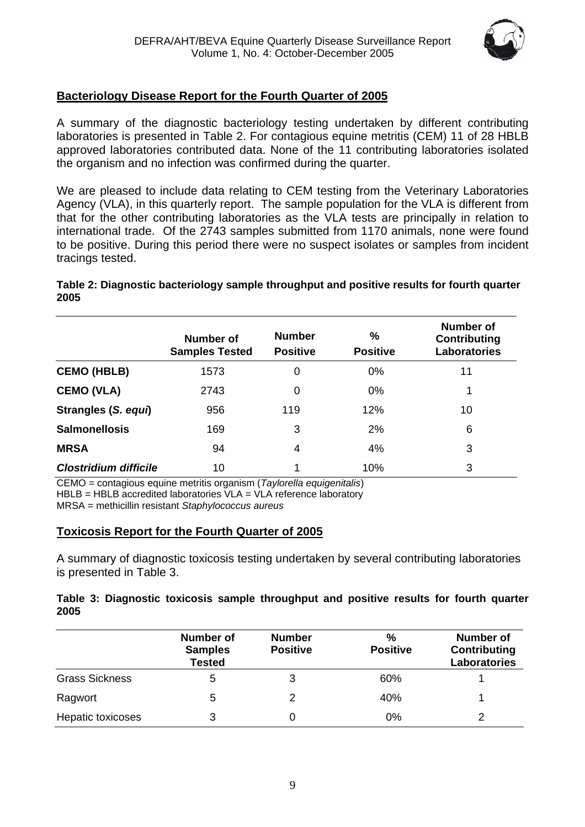

## <span id="page-8-0"></span>**Bacteriology Disease Report for the Fourth Quarter of 2005**

A summary of the diagnostic bacteriology testing undertaken by different contributing laboratories is presented in Table 2. For contagious equine metritis (CEM) 11 of 28 HBLB approved laboratories contributed data. None of the 11 contributing laboratories isolated the organism and no infection was confirmed during the quarter.

We are pleased to include data relating to CEM testing from the Veterinary Laboratories Agency (VLA), in this quarterly report. The sample population for the VLA is different from that for the other contributing laboratories as the VLA tests are principally in relation to international trade. Of the 2743 samples submitted from 1170 animals, none were found to be positive. During this period there were no suspect isolates or samples from incident tracings tested.

#### **Table 2: Diagnostic bacteriology sample throughput and positive results for fourth quarter 2005**

|                              | Number of<br><b>Samples Tested</b> | <b>Number</b><br><b>Positive</b> | ℅<br><b>Positive</b> | Number of<br>Contributing<br><b>Laboratories</b> |
|------------------------------|------------------------------------|----------------------------------|----------------------|--------------------------------------------------|
| <b>CEMO (HBLB)</b>           | 1573                               | 0                                | $0\%$                | 11                                               |
| <b>CEMO (VLA)</b>            | 2743                               | 0                                | 0%                   | 1                                                |
| Strangles (S. equi)          | 956                                | 119                              | 12%                  | 10                                               |
| <b>Salmonellosis</b>         | 169                                | 3                                | 2%                   | 6                                                |
| <b>MRSA</b>                  | 94                                 | 4                                | 4%                   | 3                                                |
| <b>Clostridium difficile</b> | 10                                 | 4                                | 10%                  | 3                                                |

CEMO = contagious equine metritis organism (*Taylorella equigenitalis*)

HBLB = HBLB accredited laboratories VLA = VLA reference laboratory

MRSA = methicillin resistant *Staphylococcus aureus* 

#### **Toxicosis Report for the Fourth Quarter of 2005**

A summary of diagnostic toxicosis testing undertaken by several contributing laboratories is presented in Table 3.

#### **Table 3: Diagnostic toxicosis sample throughput and positive results for fourth quarter 2005**

|                       | Number of<br><b>Samples</b><br><b>Tested</b> | <b>Number</b><br><b>Positive</b> | %<br><b>Positive</b> | <b>Number of</b><br><b>Contributing</b><br><b>Laboratories</b> |
|-----------------------|----------------------------------------------|----------------------------------|----------------------|----------------------------------------------------------------|
| <b>Grass Sickness</b> | b                                            | 3                                | 60%                  |                                                                |
| Ragwort               | 5                                            | $\mathcal{P}$                    | 40%                  |                                                                |
| Hepatic toxicoses     |                                              |                                  | 0%                   | っ                                                              |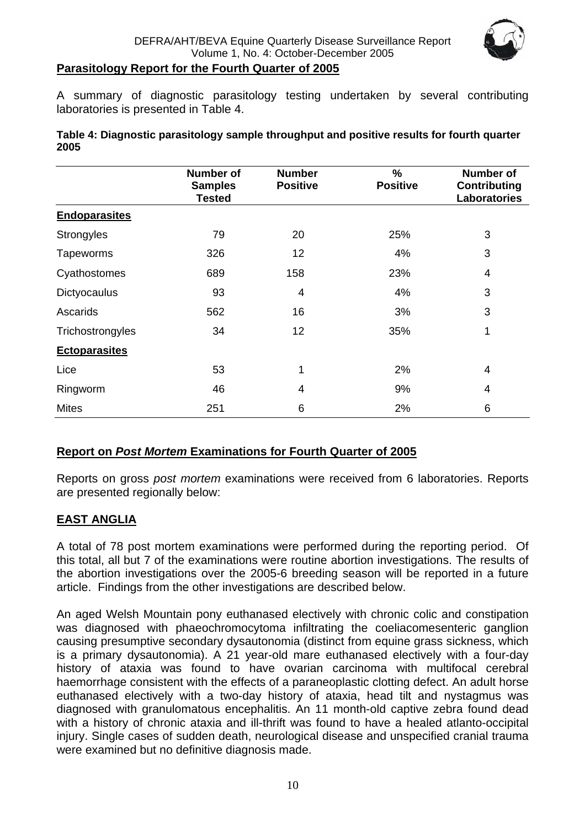

#### <span id="page-9-0"></span>**Parasitology Report for the Fourth Quarter of 2005**

A summary of diagnostic parasitology testing undertaken by several contributing laboratories is presented in Table 4.

| Table 4: Diagnostic parasitology sample throughput and positive results for fourth quarter |  |
|--------------------------------------------------------------------------------------------|--|
| 2005                                                                                       |  |

|                      | <b>Number of</b><br><b>Samples</b><br><b>Tested</b> | <b>Number</b><br><b>Positive</b> | $\frac{9}{6}$<br><b>Positive</b> | <b>Number of</b><br><b>Contributing</b><br><b>Laboratories</b> |
|----------------------|-----------------------------------------------------|----------------------------------|----------------------------------|----------------------------------------------------------------|
| <b>Endoparasites</b> |                                                     |                                  |                                  |                                                                |
| Strongyles           | 79                                                  | 20                               | 25%                              | 3                                                              |
| <b>Tapeworms</b>     | 326                                                 | 12                               | 4%                               | 3                                                              |
| Cyathostomes         | 689                                                 | 158                              | 23%                              | 4                                                              |
| <b>Dictyocaulus</b>  | 93                                                  | 4                                | 4%                               | 3                                                              |
| Ascarids             | 562                                                 | 16                               | 3%                               | 3                                                              |
| Trichostrongyles     | 34                                                  | 12                               | 35%                              | 1                                                              |
| <b>Ectoparasites</b> |                                                     |                                  |                                  |                                                                |
| Lice                 | 53                                                  | 1                                | 2%                               | 4                                                              |
| Ringworm             | 46                                                  | 4                                | 9%                               | 4                                                              |
| <b>Mites</b>         | 251                                                 | 6                                | 2%                               | 6                                                              |

#### **Report on** *Post Mortem* **Examinations for Fourth Quarter of 2005**

Reports on gross *post mortem* examinations were received from 6 laboratories. Reports are presented regionally below:

#### **EAST ANGLIA**

A total of 78 post mortem examinations were performed during the reporting period. Of this total, all but 7 of the examinations were routine abortion investigations. The results of the abortion investigations over the 2005-6 breeding season will be reported in a future article. Findings from the other investigations are described below.

An aged Welsh Mountain pony euthanased electively with chronic colic and constipation was diagnosed with phaeochromocytoma infiltrating the coeliacomesenteric ganglion causing presumptive secondary dysautonomia (distinct from equine grass sickness, which is a primary dysautonomia). A 21 year-old mare euthanased electively with a four-day history of ataxia was found to have ovarian carcinoma with multifocal cerebral haemorrhage consistent with the effects of a paraneoplastic clotting defect. An adult horse euthanased electively with a two-day history of ataxia, head tilt and nystagmus was diagnosed with granulomatous encephalitis. An 11 month-old captive zebra found dead with a history of chronic ataxia and ill-thrift was found to have a healed atlanto-occipital injury. Single cases of sudden death, neurological disease and unspecified cranial trauma were examined but no definitive diagnosis made.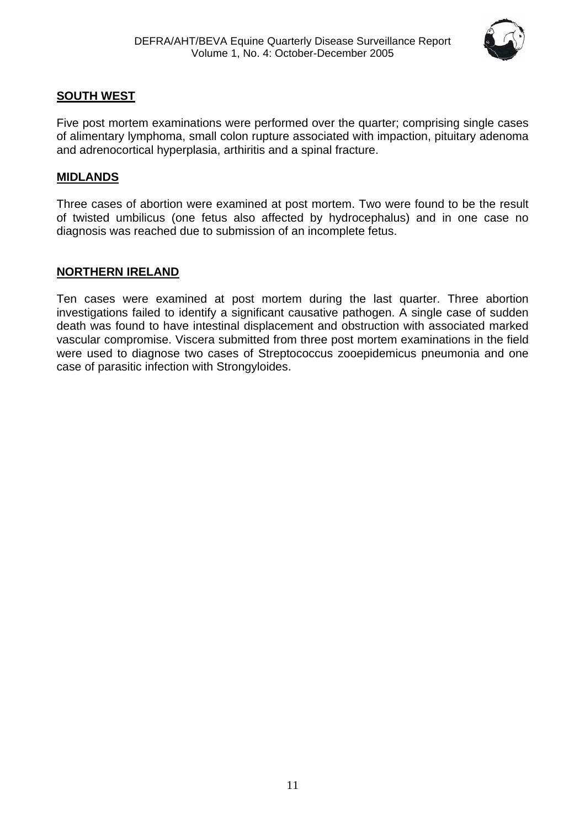

## <span id="page-10-0"></span>**SOUTH WEST**

Five post mortem examinations were performed over the quarter; comprising single cases of alimentary lymphoma, small colon rupture associated with impaction, pituitary adenoma and adrenocortical hyperplasia, arthiritis and a spinal fracture.

## **MIDLANDS**

Three cases of abortion were examined at post mortem. Two were found to be the result of twisted umbilicus (one fetus also affected by hydrocephalus) and in one case no diagnosis was reached due to submission of an incomplete fetus.

## **NORTHERN IRELAND**

Ten cases were examined at post mortem during the last quarter. Three abortion investigations failed to identify a significant causative pathogen. A single case of sudden death was found to have intestinal displacement and obstruction with associated marked vascular compromise. Viscera submitted from three post mortem examinations in the field were used to diagnose two cases of Streptococcus zooepidemicus pneumonia and one case of parasitic infection with Strongyloides.